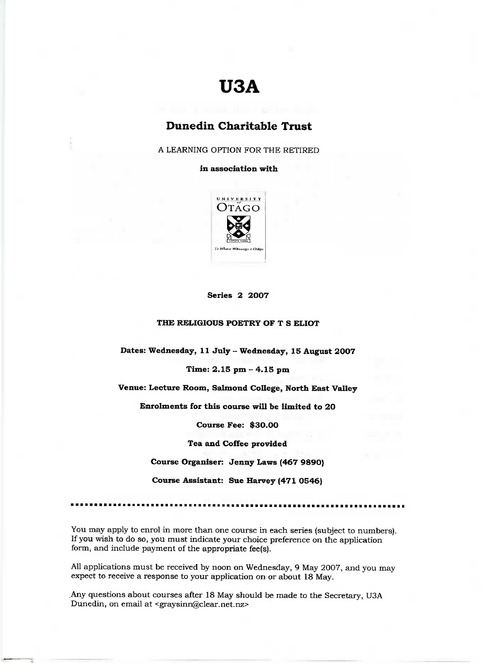# **U3A**

# Dunedin **Charitable Trust**

A LEARNING OPTION FOR THE RETIRED

**in association with**



#### **Series 2 2007**

## **THE RELIGIOUS POETRY OF T S ELIOT**

**Dates: Wednesday, 11 July** *-* **Wednesday, 15 August 2007**

### **Time: 2.15 pm - 4.15 pm**

**Venue: Lecture Room, Salmond College, North East Valley**

**Enrolments for this course will be limited to 20**

**Course Fee: \$30.00**

**Tea and Coffee provided**

**Course Organiser: Jenny Laws (467 9890)**

**Course Assistant: Sue Harvey (471 0546)**

You may apply to enrol in more than one course in each series (subject to numbers). If you wish to do so, you must indicate your choice preference on the application form, and include payment of the appropriate fee(s}.

All applications must be received by noon on Wednesday, 9 May 2007, and you may expect to receive a response to your application on or about 18 May.

Any questions about courses after 18 May should be made to the Secretary, USA Dunedin, on email at <graysinn@clear.net.nz>